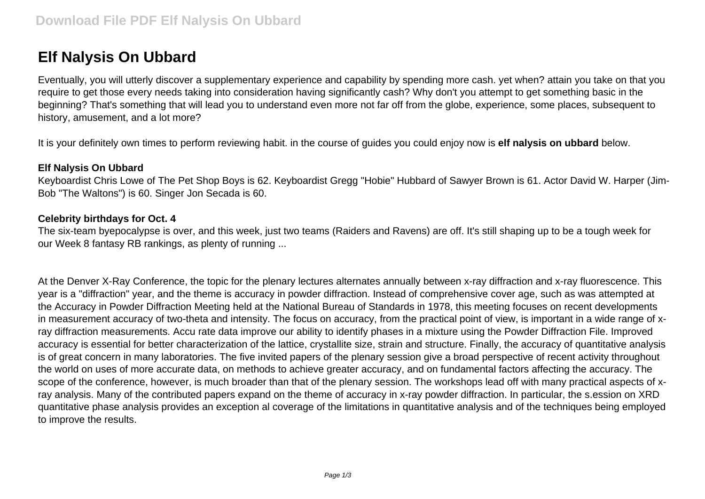## **Elf Nalysis On Ubbard**

Eventually, you will utterly discover a supplementary experience and capability by spending more cash. yet when? attain you take on that you require to get those every needs taking into consideration having significantly cash? Why don't you attempt to get something basic in the beginning? That's something that will lead you to understand even more not far off from the globe, experience, some places, subsequent to history, amusement, and a lot more?

It is your definitely own times to perform reviewing habit. in the course of guides you could enjoy now is **elf nalysis on ubbard** below.

## **Elf Nalysis On Ubbard**

Keyboardist Chris Lowe of The Pet Shop Boys is 62. Keyboardist Gregg "Hobie" Hubbard of Sawyer Brown is 61. Actor David W. Harper (Jim-Bob "The Waltons") is 60. Singer Jon Secada is 60.

## **Celebrity birthdays for Oct. 4**

The six-team byepocalypse is over, and this week, just two teams (Raiders and Ravens) are off. It's still shaping up to be a tough week for our Week 8 fantasy RB rankings, as plenty of running ...

At the Denver X-Ray Conference, the topic for the plenary lectures alternates annually between x-ray diffraction and x-ray fluorescence. This year is a "diffraction" year, and the theme is accuracy in powder diffraction. Instead of comprehensive cover age, such as was attempted at the Accuracy in Powder Diffraction Meeting held at the National Bureau of Standards in 1978, this meeting focuses on recent developments in measurement accuracy of two-theta and intensity. The focus on accuracy, from the practical point of view, is important in a wide range of xray diffraction measurements. Accu rate data improve our ability to identify phases in a mixture using the Powder Diffraction File. Improved accuracy is essential for better characterization of the lattice, crystallite size, strain and structure. Finally, the accuracy of quantitative analysis is of great concern in many laboratories. The five invited papers of the plenary session give a broad perspective of recent activity throughout the world on uses of more accurate data, on methods to achieve greater accuracy, and on fundamental factors affecting the accuracy. The scope of the conference, however, is much broader than that of the plenary session. The workshops lead off with many practical aspects of xray analysis. Many of the contributed papers expand on the theme of accuracy in x-ray powder diffraction. In particular, the s.ession on XRD quantitative phase analysis provides an exception al coverage of the limitations in quantitative analysis and of the techniques being employed to improve the results.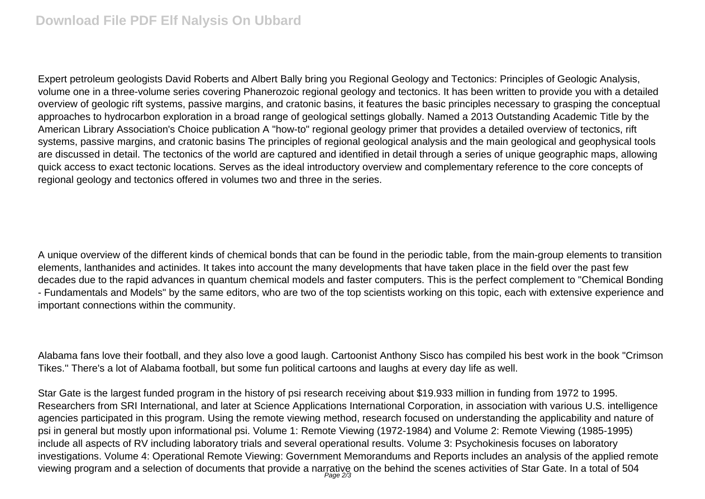Expert petroleum geologists David Roberts and Albert Bally bring you Regional Geology and Tectonics: Principles of Geologic Analysis, volume one in a three-volume series covering Phanerozoic regional geology and tectonics. It has been written to provide you with a detailed overview of geologic rift systems, passive margins, and cratonic basins, it features the basic principles necessary to grasping the conceptual approaches to hydrocarbon exploration in a broad range of geological settings globally. Named a 2013 Outstanding Academic Title by the American Library Association's Choice publication A "how-to" regional geology primer that provides a detailed overview of tectonics, rift systems, passive margins, and cratonic basins The principles of regional geological analysis and the main geological and geophysical tools are discussed in detail. The tectonics of the world are captured and identified in detail through a series of unique geographic maps, allowing quick access to exact tectonic locations. Serves as the ideal introductory overview and complementary reference to the core concepts of regional geology and tectonics offered in volumes two and three in the series.

A unique overview of the different kinds of chemical bonds that can be found in the periodic table, from the main-group elements to transition elements, lanthanides and actinides. It takes into account the many developments that have taken place in the field over the past few decades due to the rapid advances in quantum chemical models and faster computers. This is the perfect complement to "Chemical Bonding - Fundamentals and Models" by the same editors, who are two of the top scientists working on this topic, each with extensive experience and important connections within the community.

Alabama fans love their football, and they also love a good laugh. Cartoonist Anthony Sisco has compiled his best work in the book "Crimson Tikes.'' There's a lot of Alabama football, but some fun political cartoons and laughs at every day life as well.

Star Gate is the largest funded program in the history of psi research receiving about \$19.933 million in funding from 1972 to 1995. Researchers from SRI International, and later at Science Applications International Corporation, in association with various U.S. intelligence agencies participated in this program. Using the remote viewing method, research focused on understanding the applicability and nature of psi in general but mostly upon informational psi. Volume 1: Remote Viewing (1972-1984) and Volume 2: Remote Viewing (1985-1995) include all aspects of RV including laboratory trials and several operational results. Volume 3: Psychokinesis focuses on laboratory investigations. Volume 4: Operational Remote Viewing: Government Memorandums and Reports includes an analysis of the applied remote viewing program and a selection of documents that provide a narrative on the behind the scenes activities of Star Gate. In a total of 504  $\,$